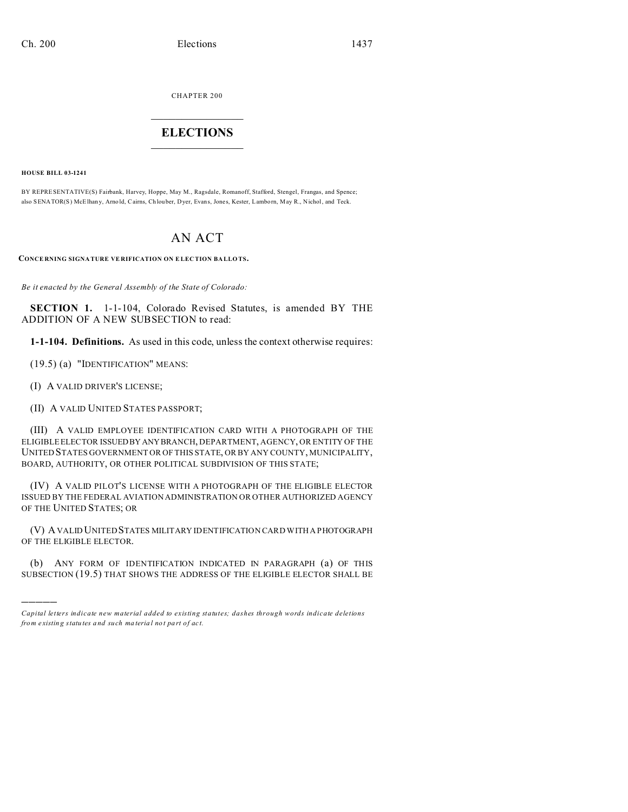CHAPTER 200  $\overline{\phantom{a}}$  , where  $\overline{\phantom{a}}$ 

## **ELECTIONS**  $\_$

**HOUSE BILL 03-1241**

)))))

BY REPRESENTATIVE(S) Fairbank, Harvey, Hoppe, May M., Ragsdale, Romanoff, Stafford, Stengel, Frangas, and Spence; also SENATOR(S) McElhan y, Arno ld, Cairns, Ch louber, Dyer, Evans, Jones, Kester, Lamborn, May R., Nichol, and Teck.

## AN ACT

**CONCE RNING SIGNA TURE VE RIFICATION ON ELECTION BA LLO TS.**

*Be it enacted by the General Assembly of the State of Colorado:*

**SECTION 1.** 1-1-104, Colorado Revised Statutes, is amended BY THE ADDITION OF A NEW SUBSECTION to read:

**1-1-104. Definitions.** As used in this code, unless the context otherwise requires:

(19.5) (a) "IDENTIFICATION" MEANS:

(I) A VALID DRIVER'S LICENSE;

(II) A VALID UNITED STATES PASSPORT;

(III) A VALID EMPLOYEE IDENTIFICATION CARD WITH A PHOTOGRAPH OF THE ELIGIBLE ELECTOR ISSUEDBY ANYBRANCH, DEPARTMENT, AGENCY, OR ENTITY OF THE UNITED STATES GOVERNMENT OR OF THIS STATE, OR BY ANY COUNTY, MUNICIPALITY, BOARD, AUTHORITY, OR OTHER POLITICAL SUBDIVISION OF THIS STATE;

(IV) A VALID PILOT'S LICENSE WITH A PHOTOGRAPH OF THE ELIGIBLE ELECTOR ISSUED BY THE FEDERAL AVIATION ADMINISTRATION OR OTHER AUTHORIZED AGENCY OF THE UNITED STATES; OR

(V) A VALID UNITED STATES MILITARY IDENTIFICATION CARD WITH A PHOTOGRAPH OF THE ELIGIBLE ELECTOR.

(b) ANY FORM OF IDENTIFICATION INDICATED IN PARAGRAPH (a) OF THIS SUBSECTION (19.5) THAT SHOWS THE ADDRESS OF THE ELIGIBLE ELECTOR SHALL BE

*Capital letters indicate new material added to existing statutes; dashes through words indicate deletions from e xistin g statu tes a nd such ma teria l no t pa rt of ac t.*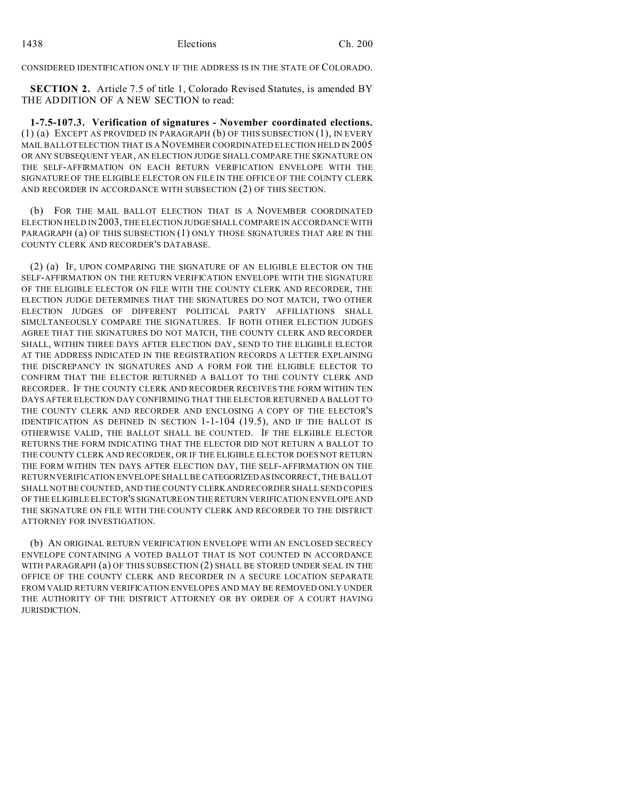CONSIDERED IDENTIFICATION ONLY IF THE ADDRESS IS IN THE STATE OF COLORADO.

**SECTION 2.** Article 7.5 of title 1, Colorado Revised Statutes, is amended BY THE ADDITION OF A NEW SECTION to read:

**1-7.5-107.3. Verification of signatures - November coordinated elections.** (1) (a) EXCEPT AS PROVIDED IN PARAGRAPH (b) OF THIS SUBSECTION (1), IN EVERY MAIL BALLOT ELECTION THAT IS A NOVEMBER COORDINATED ELECTION HELD IN 2005 OR ANY SUBSEQUENT YEAR, AN ELECTION JUDGE SHALL COMPARE THE SIGNATURE ON THE SELF-AFFIRMATION ON EACH RETURN VERIFICATION ENVELOPE WITH THE SIGNATURE OF THE ELIGIBLE ELECTOR ON FILE IN THE OFFICE OF THE COUNTY CLERK AND RECORDER IN ACCORDANCE WITH SUBSECTION (2) OF THIS SECTION.

(b) FOR THE MAIL BALLOT ELECTION THAT IS A NOVEMBER COORDINATED ELECTION HELD IN 2003, THE ELECTION JUDGE SHALL COMPARE IN ACCORDANCE WITH PARAGRAPH (a) OF THIS SUBSECTION (1) ONLY THOSE SIGNATURES THAT ARE IN THE COUNTY CLERK AND RECORDER'S DATABASE.

(2) (a) IF, UPON COMPARING THE SIGNATURE OF AN ELIGIBLE ELECTOR ON THE SELF-AFFIRMATION ON THE RETURN VERIFICATION ENVELOPE WITH THE SIGNATURE OF THE ELIGIBLE ELECTOR ON FILE WITH THE COUNTY CLERK AND RECORDER, THE ELECTION JUDGE DETERMINES THAT THE SIGNATURES DO NOT MATCH, TWO OTHER ELECTION JUDGES OF DIFFERENT POLITICAL PARTY AFFILIATIONS SHALL SIMULTANEOUSLY COMPARE THE SIGNATURES. IF BOTH OTHER ELECTION JUDGES AGREE THAT THE SIGNATURES DO NOT MATCH, THE COUNTY CLERK AND RECORDER SHALL, WITHIN THREE DAYS AFTER ELECTION DAY, SEND TO THE ELIGIBLE ELECTOR AT THE ADDRESS INDICATED IN THE REGISTRATION RECORDS A LETTER EXPLAINING THE DISCREPANCY IN SIGNATURES AND A FORM FOR THE ELIGIBLE ELECTOR TO CONFIRM THAT THE ELECTOR RETURNED A BALLOT TO THE COUNTY CLERK AND RECORDER. IF THE COUNTY CLERK AND RECORDER RECEIVES THE FORM WITHIN TEN DAYS AFTER ELECTION DAY CONFIRMING THAT THE ELECTOR RETURNED A BALLOT TO THE COUNTY CLERK AND RECORDER AND ENCLOSING A COPY OF THE ELECTOR'S IDENTIFICATION AS DEFINED IN SECTION 1-1-104 (19.5), AND IF THE BALLOT IS OTHERWISE VALID, THE BALLOT SHALL BE COUNTED. IF THE ELIGIBLE ELECTOR RETURNS THE FORM INDICATING THAT THE ELECTOR DID NOT RETURN A BALLOT TO THE COUNTY CLERK AND RECORDER, OR IF THE ELIGIBLE ELECTOR DOES NOT RETURN THE FORM WITHIN TEN DAYS AFTER ELECTION DAY, THE SELF-AFFIRMATION ON THE RETURN VERIFICATION ENVELOPE SHALL BE CATEGORIZEDASINCORRECT, THE BALLOT SHALL NOT BE COUNTED, AND THE COUNTY CLERKAND RECORDER SHALL SEND COPIES OF THE ELIGIBLE ELECTOR'S SIGNATUREON THE RETURN VERIFICATION ENVELOPE AND THE SIGNATURE ON FILE WITH THE COUNTY CLERK AND RECORDER TO THE DISTRICT ATTORNEY FOR INVESTIGATION.

(b) AN ORIGINAL RETURN VERIFICATION ENVELOPE WITH AN ENCLOSED SECRECY ENVELOPE CONTAINING A VOTED BALLOT THAT IS NOT COUNTED IN ACCORDANCE WITH PARAGRAPH (a) OF THIS SUBSECTION (2) SHALL BE STORED UNDER SEAL IN THE OFFICE OF THE COUNTY CLERK AND RECORDER IN A SECURE LOCATION SEPARATE FROM VALID RETURN VERIFICATION ENVELOPES AND MAY BE REMOVED ONLY UNDER THE AUTHORITY OF THE DISTRICT ATTORNEY OR BY ORDER OF A COURT HAVING JURISDICTION.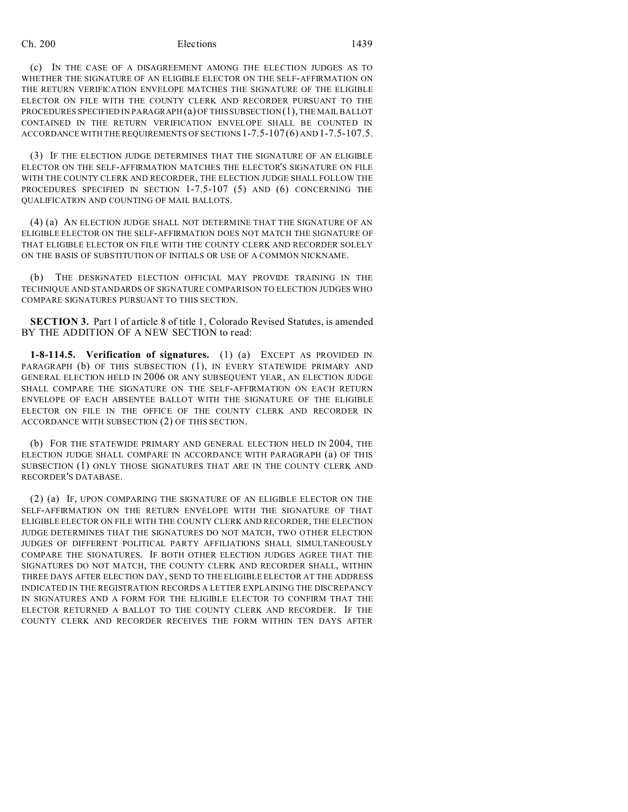## Ch. 200 Elections 1439

(c) IN THE CASE OF A DISAGREEMENT AMONG THE ELECTION JUDGES AS TO WHETHER THE SIGNATURE OF AN ELIGIBLE ELECTOR ON THE SELF-AFFIRMATION ON THE RETURN VERIFICATION ENVELOPE MATCHES THE SIGNATURE OF THE ELIGIBLE ELECTOR ON FILE WITH THE COUNTY CLERK AND RECORDER PURSUANT TO THE PROCEDURES SPECIFIED IN PARAGRAPH (a) OF THIS SUBSECTION (1), THE MAIL BALLOT CONTAINED IN THE RETURN VERIFICATION ENVELOPE SHALL BE COUNTED IN ACCORDANCE WITH THE REQUIREMENTS OF SECTIONS 1-7.5-107 (6) AND 1-7.5-107.5.

(3) IF THE ELECTION JUDGE DETERMINES THAT THE SIGNATURE OF AN ELIGIBLE ELECTOR ON THE SELF-AFFIRMATION MATCHES THE ELECTOR'S SIGNATURE ON FILE WITH THE COUNTY CLERK AND RECORDER, THE ELECTION JUDGE SHALL FOLLOW THE PROCEDURES SPECIFIED IN SECTION 1-7.5-107 (5) AND (6) CONCERNING THE QUALIFICATION AND COUNTING OF MAIL BALLOTS.

(4) (a) AN ELECTION JUDGE SHALL NOT DETERMINE THAT THE SIGNATURE OF AN ELIGIBLE ELECTOR ON THE SELF-AFFIRMATION DOES NOT MATCH THE SIGNATURE OF THAT ELIGIBLE ELECTOR ON FILE WITH THE COUNTY CLERK AND RECORDER SOLELY ON THE BASIS OF SUBSTITUTION OF INITIALS OR USE OF A COMMON NICKNAME.

(b) THE DESIGNATED ELECTION OFFICIAL MAY PROVIDE TRAINING IN THE TECHNIQUE AND STANDARDS OF SIGNATURE COMPARISON TO ELECTION JUDGES WHO COMPARE SIGNATURES PURSUANT TO THIS SECTION.

**SECTION 3.** Part 1 of article 8 of title 1, Colorado Revised Statutes, is amended BY THE ADDITION OF A NEW SECTION to read:

**1-8-114.5. Verification of signatures.** (1) (a) EXCEPT AS PROVIDED IN PARAGRAPH (b) OF THIS SUBSECTION (1), IN EVERY STATEWIDE PRIMARY AND GENERAL ELECTION HELD IN 2006 OR ANY SUBSEQUENT YEAR, AN ELECTION JUDGE SHALL COMPARE THE SIGNATURE ON THE SELF-AFFIRMATION ON EACH RETURN ENVELOPE OF EACH ABSENTEE BALLOT WITH THE SIGNATURE OF THE ELIGIBLE ELECTOR ON FILE IN THE OFFICE OF THE COUNTY CLERK AND RECORDER IN ACCORDANCE WITH SUBSECTION (2) OF THIS SECTION.

(b) FOR THE STATEWIDE PRIMARY AND GENERAL ELECTION HELD IN 2004, THE ELECTION JUDGE SHALL COMPARE IN ACCORDANCE WITH PARAGRAPH (a) OF THIS SUBSECTION (1) ONLY THOSE SIGNATURES THAT ARE IN THE COUNTY CLERK AND RECORDER'S DATABASE.

(2) (a) IF, UPON COMPARING THE SIGNATURE OF AN ELIGIBLE ELECTOR ON THE SELF-AFFIRMATION ON THE RETURN ENVELOPE WITH THE SIGNATURE OF THAT ELIGIBLE ELECTOR ON FILE WITH THE COUNTY CLERK AND RECORDER, THE ELECTION JUDGE DETERMINES THAT THE SIGNATURES DO NOT MATCH, TWO OTHER ELECTION JUDGES OF DIFFERENT POLITICAL PARTY AFFILIATIONS SHALL SIMULTANEOUSLY COMPARE THE SIGNATURES. IF BOTH OTHER ELECTION JUDGES AGREE THAT THE SIGNATURES DO NOT MATCH, THE COUNTY CLERK AND RECORDER SHALL, WITHIN THREE DAYS AFTER ELECTION DAY, SEND TO THE ELIGIBLE ELECTOR AT THE ADDRESS INDICATED IN THE REGISTRATION RECORDS A LETTER EXPLAINING THE DISCREPANCY IN SIGNATURES AND A FORM FOR THE ELIGIBLE ELECTOR TO CONFIRM THAT THE ELECTOR RETURNED A BALLOT TO THE COUNTY CLERK AND RECORDER. IF THE COUNTY CLERK AND RECORDER RECEIVES THE FORM WITHIN TEN DAYS AFTER